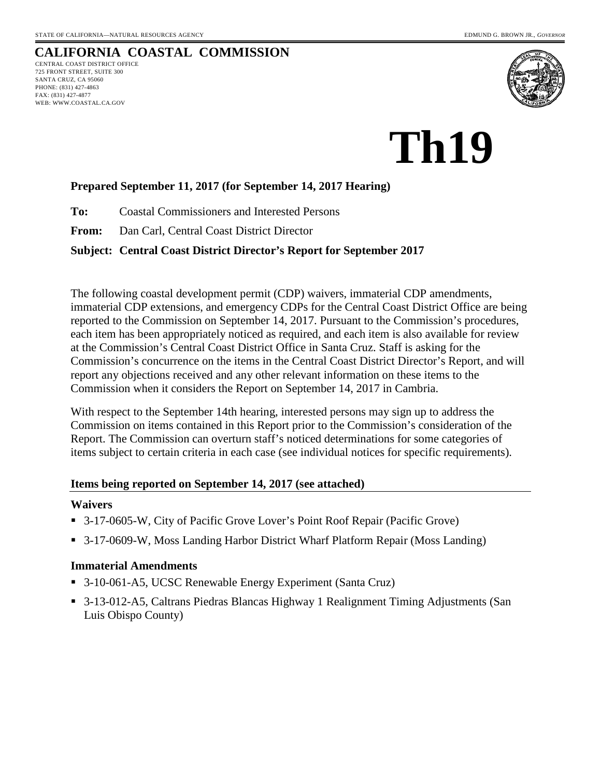WEB: WWW.COASTAL.CA.GOV

#### **CALIFORNIA COASTAL COMMISSION** CENTRAL COAST DISTRICT OFFICE 725 FRONT STREET, SUITE 300 SANTA CRUZ, CA 95060 PHONE: (831) 427-4863 FAX: (831) 427-4877



# **Th19**

#### **Prepared September 11, 2017 (for September 14, 2017 Hearing)**

**To:** Coastal Commissioners and Interested Persons

**From:** Dan Carl, Central Coast District Director

#### **Subject: Central Coast District Director's Report for September 2017**

The following coastal development permit (CDP) waivers, immaterial CDP amendments, immaterial CDP extensions, and emergency CDPs for the Central Coast District Office are being reported to the Commission on September 14, 2017. Pursuant to the Commission's procedures, each item has been appropriately noticed as required, and each item is also available for review at the Commission's Central Coast District Office in Santa Cruz. Staff is asking for the Commission's concurrence on the items in the Central Coast District Director's Report, and will report any objections received and any other relevant information on these items to the Commission when it considers the Report on September 14, 2017 in Cambria.

With respect to the September 14th hearing, interested persons may sign up to address the Commission on items contained in this Report prior to the Commission's consideration of the Report. The Commission can overturn staff's noticed determinations for some categories of items subject to certain criteria in each case (see individual notices for specific requirements).

#### **Items being reported on September 14, 2017 (see attached)**

#### **Waivers**

- 3-17-0605-W, City of Pacific Grove Lover's Point Roof Repair (Pacific Grove)
- 3-17-0609-W, Moss Landing Harbor District Wharf Platform Repair (Moss Landing)

#### **Immaterial Amendments**

- 3-10-061-A5, UCSC Renewable Energy Experiment (Santa Cruz)
- 3-13-012-A5, Caltrans Piedras Blancas Highway 1 Realignment Timing Adjustments (San Luis Obispo County)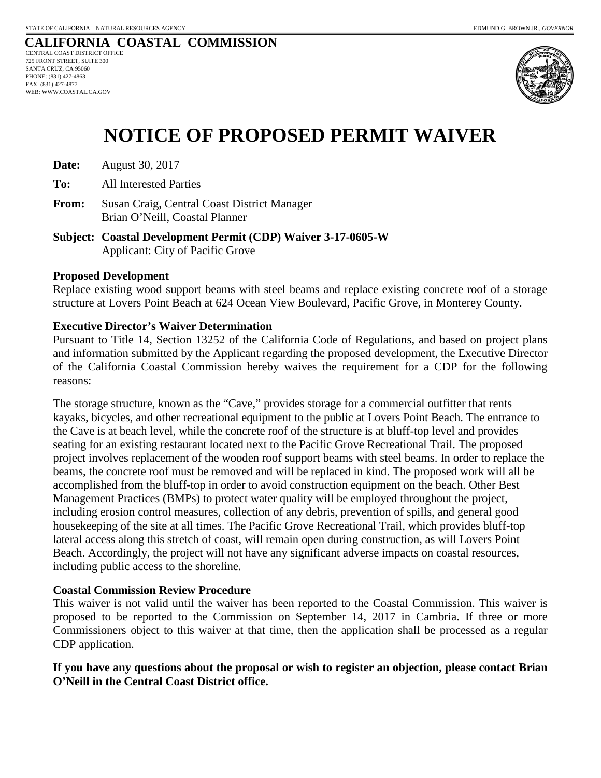

# **NOTICE OF PROPOSED PERMIT WAIVER**

**Date:** August 30, 2017

**To:** All Interested Parties

- **From:** Susan Craig, Central Coast District Manager Brian O'Neill, Coastal Planner
- **Subject: Coastal Development Permit (CDP) Waiver 3-17-0605-W**  Applicant: City of Pacific Grove

#### **Proposed Development**

Replace existing wood support beams with steel beams and replace existing concrete roof of a storage structure at Lovers Point Beach at 624 Ocean View Boulevard, Pacific Grove, in Monterey County.

#### **Executive Director's Waiver Determination**

Pursuant to Title 14, Section 13252 of the California Code of Regulations, and based on project plans and information submitted by the Applicant regarding the proposed development, the Executive Director of the California Coastal Commission hereby waives the requirement for a CDP for the following reasons:

The storage structure, known as the "Cave," provides storage for a commercial outfitter that rents kayaks, bicycles, and other recreational equipment to the public at Lovers Point Beach. The entrance to the Cave is at beach level, while the concrete roof of the structure is at bluff-top level and provides seating for an existing restaurant located next to the Pacific Grove Recreational Trail. The proposed project involves replacement of the wooden roof support beams with steel beams. In order to replace the beams, the concrete roof must be removed and will be replaced in kind. The proposed work will all be accomplished from the bluff-top in order to avoid construction equipment on the beach. Other Best Management Practices (BMPs) to protect water quality will be employed throughout the project, including erosion control measures, collection of any debris, prevention of spills, and general good housekeeping of the site at all times. The Pacific Grove Recreational Trail, which provides bluff-top lateral access along this stretch of coast, will remain open during construction, as will Lovers Point Beach. Accordingly, the project will not have any significant adverse impacts on coastal resources, including public access to the shoreline.

#### **Coastal Commission Review Procedure**

This waiver is not valid until the waiver has been reported to the Coastal Commission. This waiver is proposed to be reported to the Commission on September 14, 2017 in Cambria. If three or more Commissioners object to this waiver at that time, then the application shall be processed as a regular CDP application.

#### **If you have any questions about the proposal or wish to register an objection, please contact Brian O'Neill in the Central Coast District office.**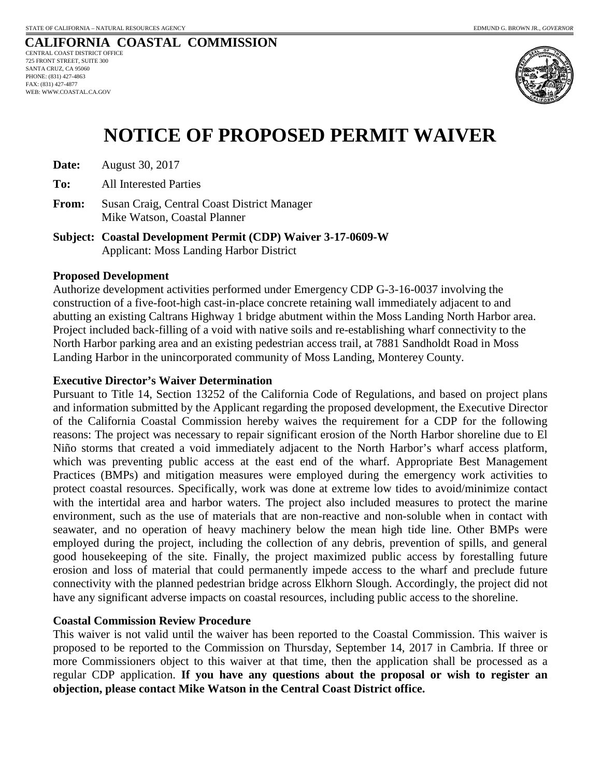

# **NOTICE OF PROPOSED PERMIT WAIVER**

| Date: | August 30, 2017 |
|-------|-----------------|
|-------|-----------------|

**To:** All Interested Parties

**From:** Susan Craig, Central Coast District Manager Mike Watson, Coastal Planner

**Subject: Coastal Development Permit (CDP) Waiver 3-17-0609-W**  Applicant: Moss Landing Harbor District

#### **Proposed Development**

Authorize development activities performed under Emergency CDP G-3-16-0037 involving the construction of a five-foot-high cast-in-place concrete retaining wall immediately adjacent to and abutting an existing Caltrans Highway 1 bridge abutment within the Moss Landing North Harbor area. Project included back-filling of a void with native soils and re-establishing wharf connectivity to the North Harbor parking area and an existing pedestrian access trail, at 7881 Sandholdt Road in Moss Landing Harbor in the unincorporated community of Moss Landing, Monterey County.

#### **Executive Director's Waiver Determination**

Pursuant to Title 14, Section 13252 of the California Code of Regulations, and based on project plans and information submitted by the Applicant regarding the proposed development, the Executive Director of the California Coastal Commission hereby waives the requirement for a CDP for the following reasons: The project was necessary to repair significant erosion of the North Harbor shoreline due to El Niño storms that created a void immediately adjacent to the North Harbor's wharf access platform, which was preventing public access at the east end of the wharf. Appropriate Best Management Practices (BMPs) and mitigation measures were employed during the emergency work activities to protect coastal resources. Specifically, work was done at extreme low tides to avoid/minimize contact with the intertidal area and harbor waters. The project also included measures to protect the marine environment, such as the use of materials that are non-reactive and non-soluble when in contact with seawater, and no operation of heavy machinery below the mean high tide line. Other BMPs were employed during the project, including the collection of any debris, prevention of spills, and general good housekeeping of the site. Finally, the project maximized public access by forestalling future erosion and loss of material that could permanently impede access to the wharf and preclude future connectivity with the planned pedestrian bridge across Elkhorn Slough. Accordingly, the project did not have any significant adverse impacts on coastal resources, including public access to the shoreline.

#### **Coastal Commission Review Procedure**

This waiver is not valid until the waiver has been reported to the Coastal Commission. This waiver is proposed to be reported to the Commission on Thursday, September 14, 2017 in Cambria. If three or more Commissioners object to this waiver at that time, then the application shall be processed as a regular CDP application. **If you have any questions about the proposal or wish to register an objection, please contact Mike Watson in the Central Coast District office.**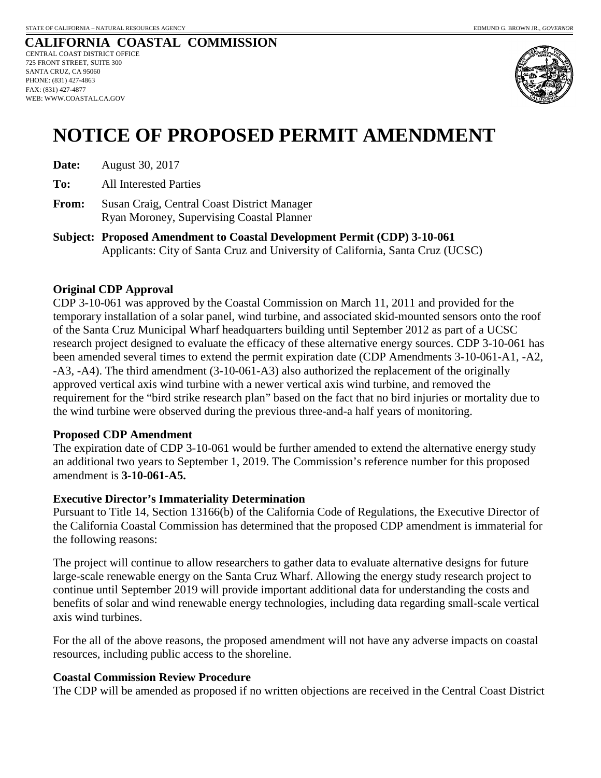

# **NOTICE OF PROPOSED PERMIT AMENDMENT**

| Date: | August 30, 2017 |
|-------|-----------------|
|-------|-----------------|

**To:** All Interested Parties

- **From:** Susan Craig, Central Coast District Manager Ryan Moroney, Supervising Coastal Planner
- **Subject: Proposed Amendment to Coastal Development Permit (CDP) 3-10-061**  Applicants: City of Santa Cruz and University of California, Santa Cruz (UCSC)

#### **Original CDP Approval**

CDP 3-10-061 was approved by the Coastal Commission on March 11, 2011 and provided for the temporary installation of a solar panel, wind turbine, and associated skid-mounted sensors onto the roof of the Santa Cruz Municipal Wharf headquarters building until September 2012 as part of a UCSC research project designed to evaluate the efficacy of these alternative energy sources. CDP 3-10-061 has been amended several times to extend the permit expiration date (CDP Amendments 3-10-061-A1, -A2, -A3, -A4). The third amendment (3-10-061-A3) also authorized the replacement of the originally approved vertical axis wind turbine with a newer vertical axis wind turbine, and removed the requirement for the "bird strike research plan" based on the fact that no bird injuries or mortality due to the wind turbine were observed during the previous three-and-a half years of monitoring.

#### **Proposed CDP Amendment**

The expiration date of CDP 3-10-061 would be further amended to extend the alternative energy study an additional two years to September 1, 2019. The Commission's reference number for this proposed amendment is **3-10-061-A5.** 

#### **Executive Director's Immateriality Determination**

Pursuant to Title 14, Section 13166(b) of the California Code of Regulations, the Executive Director of the California Coastal Commission has determined that the proposed CDP amendment is immaterial for the following reasons:

The project will continue to allow researchers to gather data to evaluate alternative designs for future large-scale renewable energy on the Santa Cruz Wharf. Allowing the energy study research project to continue until September 2019 will provide important additional data for understanding the costs and benefits of solar and wind renewable energy technologies, including data regarding small-scale vertical axis wind turbines.

For the all of the above reasons, the proposed amendment will not have any adverse impacts on coastal resources, including public access to the shoreline.

#### **Coastal Commission Review Procedure**

The CDP will be amended as proposed if no written objections are received in the Central Coast District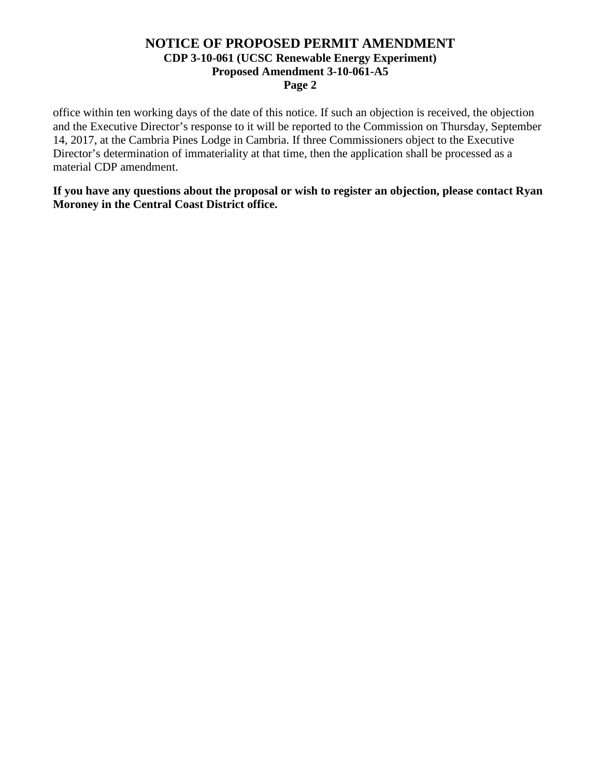#### **NOTICE OF PROPOSED PERMIT AMENDMENT CDP 3-10-061 (UCSC Renewable Energy Experiment) Proposed Amendment 3-10-061-A5 Page 2**

office within ten working days of the date of this notice. If such an objection is received, the objection and the Executive Director's response to it will be reported to the Commission on Thursday, September 14, 2017, at the Cambria Pines Lodge in Cambria. If three Commissioners object to the Executive Director's determination of immateriality at that time, then the application shall be processed as a material CDP amendment.

**If you have any questions about the proposal or wish to register an objection, please contact Ryan Moroney in the Central Coast District office.**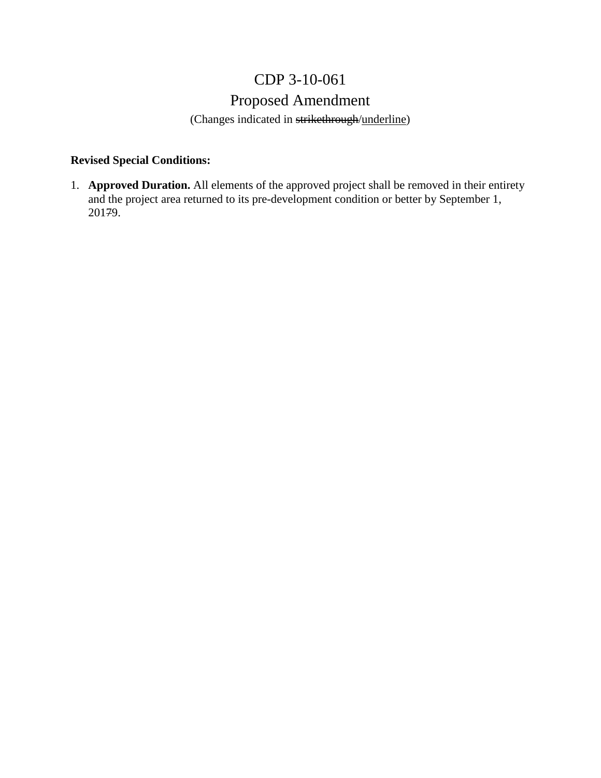## CDP 3-10-061

## Proposed Amendment

(Changes indicated in strikethrough/underline)

### **Revised Special Conditions:**

1. **Approved Duration.** All elements of the approved project shall be removed in their entirety and the project area returned to its pre-development condition or better by September 1, 20179.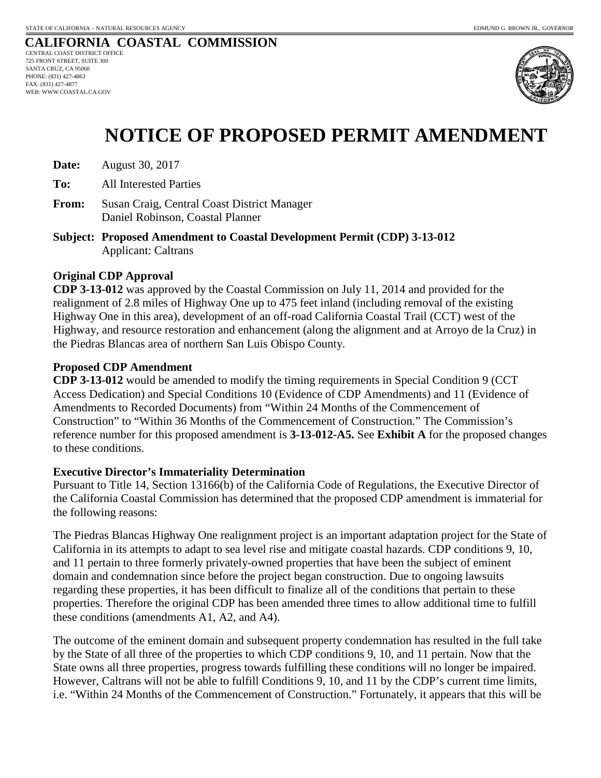

# **NOTICE OF PROPOSED PERMIT AMENDMENT**

| Date: | August 30, 2017 |
|-------|-----------------|
|-------|-----------------|

**To:** All Interested Parties

**From:** Susan Craig, Central Coast District Manager Daniel Robinson, Coastal Planner

**Subject: Proposed Amendment to Coastal Development Permit (CDP) 3-13-012**  Applicant: Caltrans

#### **Original CDP Approval**

**CDP 3-13-012** was approved by the Coastal Commission on July 11, 2014 and provided for the realignment of 2.8 miles of Highway One up to 475 feet inland (including removal of the existing Highway One in this area), development of an off-road California Coastal Trail (CCT) west of the Highway, and resource restoration and enhancement (along the alignment and at Arroyo de la Cruz) in the Piedras Blancas area of northern San Luis Obispo County.

#### **Proposed CDP Amendment**

**CDP 3-13-012** would be amended to modify the timing requirements in Special Condition 9 (CCT Access Dedication) and Special Conditions 10 (Evidence of CDP Amendments) and 11 (Evidence of Amendments to Recorded Documents) from "Within 24 Months of the Commencement of Construction" to "Within 36 Months of the Commencement of Construction." The Commission's reference number for this proposed amendment is **3-13-012-A5.** See **Exhibit A** for the proposed changes to these conditions.

#### **Executive Director's Immateriality Determination**

Pursuant to Title 14, Section 13166(b) of the California Code of Regulations, the Executive Director of the California Coastal Commission has determined that the proposed CDP amendment is immaterial for the following reasons:

The Piedras Blancas Highway One realignment project is an important adaptation project for the State of California in its attempts to adapt to sea level rise and mitigate coastal hazards. CDP conditions 9, 10, and 11 pertain to three formerly privately-owned properties that have been the subject of eminent domain and condemnation since before the project began construction. Due to ongoing lawsuits regarding these properties, it has been difficult to finalize all of the conditions that pertain to these properties. Therefore the original CDP has been amended three times to allow additional time to fulfill these conditions (amendments A1, A2, and A4).

The outcome of the eminent domain and subsequent property condemnation has resulted in the full take by the State of all three of the properties to which CDP conditions 9, 10, and 11 pertain. Now that the State owns all three properties, progress towards fulfilling these conditions will no longer be impaired. However, Caltrans will not be able to fulfill Conditions 9, 10, and 11 by the CDP's current time limits, i.e. "Within 24 Months of the Commencement of Construction." Fortunately, it appears that this will be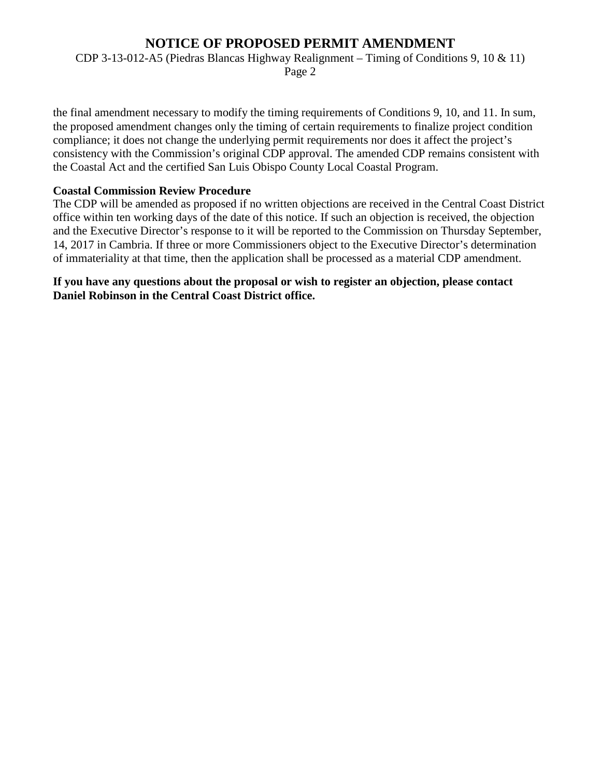## **NOTICE OF PROPOSED PERMIT AMENDMENT**

CDP 3-13-012-A5 (Piedras Blancas Highway Realignment – Timing of Conditions 9, 10 & 11)

Page 2

the final amendment necessary to modify the timing requirements of Conditions 9, 10, and 11. In sum, the proposed amendment changes only the timing of certain requirements to finalize project condition compliance; it does not change the underlying permit requirements nor does it affect the project's consistency with the Commission's original CDP approval. The amended CDP remains consistent with the Coastal Act and the certified San Luis Obispo County Local Coastal Program.

#### **Coastal Commission Review Procedure**

The CDP will be amended as proposed if no written objections are received in the Central Coast District office within ten working days of the date of this notice. If such an objection is received, the objection and the Executive Director's response to it will be reported to the Commission on Thursday September, 14, 2017 in Cambria. If three or more Commissioners object to the Executive Director's determination of immateriality at that time, then the application shall be processed as a material CDP amendment.

**If you have any questions about the proposal or wish to register an objection, please contact Daniel Robinson in the Central Coast District office.**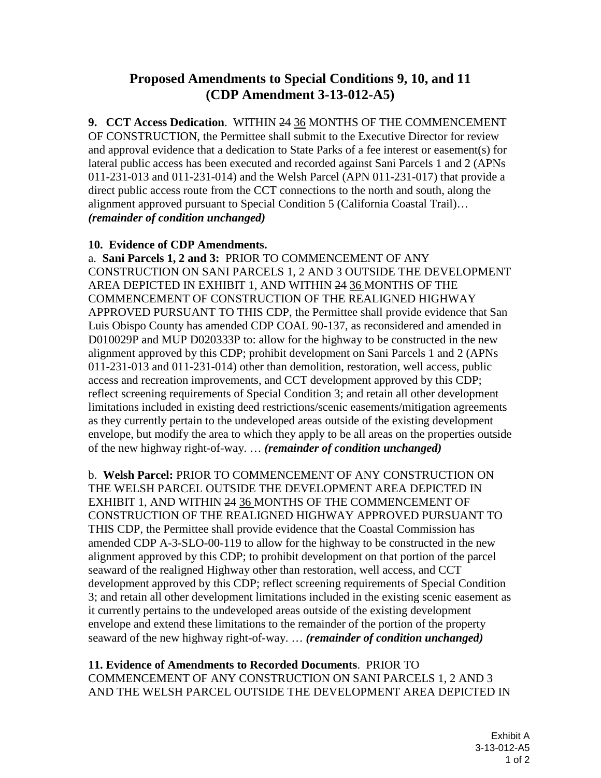## **Proposed Amendments to Special Conditions 9, 10, and 11 (CDP Amendment 3-13-012-A5)**

**9. CCT Access Dedication**. WITHIN 24 36 MONTHS OF THE COMMENCEMENT OF CONSTRUCTION, the Permittee shall submit to the Executive Director for review and approval evidence that a dedication to State Parks of a fee interest or easement(s) for lateral public access has been executed and recorded against Sani Parcels 1 and 2 (APNs 011-231-013 and 011-231-014) and the Welsh Parcel (APN 011-231-017) that provide a direct public access route from the CCT connections to the north and south, along the alignment approved pursuant to Special Condition 5 (California Coastal Trail)… *(remainder of condition unchanged)*

#### **10. Evidence of CDP Amendments.**

a. **Sani Parcels 1, 2 and 3:** PRIOR TO COMMENCEMENT OF ANY CONSTRUCTION ON SANI PARCELS 1, 2 AND 3 OUTSIDE THE DEVELOPMENT AREA DEPICTED IN EXHIBIT 1, AND WITHIN 24 36 MONTHS OF THE COMMENCEMENT OF CONSTRUCTION OF THE REALIGNED HIGHWAY APPROVED PURSUANT TO THIS CDP, the Permittee shall provide evidence that San Luis Obispo County has amended CDP COAL 90-137, as reconsidered and amended in D010029P and MUP D020333P to: allow for the highway to be constructed in the new alignment approved by this CDP; prohibit development on Sani Parcels 1 and 2 (APNs 011-231-013 and 011-231-014) other than demolition, restoration, well access, public access and recreation improvements, and CCT development approved by this CDP; reflect screening requirements of Special Condition 3; and retain all other development limitations included in existing deed restrictions/scenic easements/mitigation agreements as they currently pertain to the undeveloped areas outside of the existing development envelope, but modify the area to which they apply to be all areas on the properties outside of the new highway right-of-way. … *(remainder of condition unchanged)*

b. **Welsh Parcel:** PRIOR TO COMMENCEMENT OF ANY CONSTRUCTION ON THE WELSH PARCEL OUTSIDE THE DEVELOPMENT AREA DEPICTED IN EXHIBIT 1, AND WITHIN 24 36 MONTHS OF THE COMMENCEMENT OF CONSTRUCTION OF THE REALIGNED HIGHWAY APPROVED PURSUANT TO THIS CDP, the Permittee shall provide evidence that the Coastal Commission has amended CDP A-3-SLO-00-119 to allow for the highway to be constructed in the new alignment approved by this CDP; to prohibit development on that portion of the parcel seaward of the realigned Highway other than restoration, well access, and CCT development approved by this CDP; reflect screening requirements of Special Condition 3; and retain all other development limitations included in the existing scenic easement as it currently pertains to the undeveloped areas outside of the existing development envelope and extend these limitations to the remainder of the portion of the property seaward of the new highway right-of-way. … *(remainder of condition unchanged)*

**11. Evidence of Amendments to Recorded Documents**. PRIOR TO COMMENCEMENT OF ANY CONSTRUCTION ON SANI PARCELS 1, 2 AND 3 AND THE WELSH PARCEL OUTSIDE THE DEVELOPMENT AREA DEPICTED IN